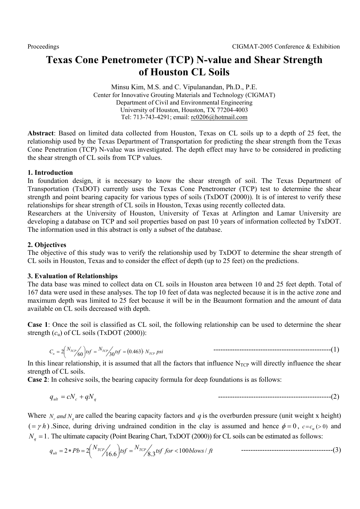# **Texas Cone Penetrometer (TCP) N-value and Shear Strength of Houston CL Soils**

Minsu Kim, M.S. and C. Vipulanandan, Ph.D., P.E. Center for Innovative Grouting Materials and Technology (CIGMAT) Department of Civil and Environmental Engineering University of Houston, Houston, TX 77204-4003 Tel: 713-743-4291; email: rc0206@hotmail.com

**Abstract**: Based on limited data collected from Houston, Texas on CL soils up to a depth of 25 feet, the relationship used by the Texas Department of Transportation for predicting the shear strength from the Texas Cone Penetration (TCP) N-value was investigated. The depth effect may have to be considered in predicting the shear strength of CL soils from TCP values.

# **1. Introduction**

In foundation design, it is necessary to know the shear strength of soil. The Texas Department of Transportation (TxDOT) currently uses the Texas Cone Penetrometer (TCP) test to determine the shear strength and point bearing capacity for various types of soils (TxDOT (2000)). It is of interest to verify these relationships for shear strength of CL soils in Houston, Texas using recently collected data.

Researchers at the University of Houston, University of Texas at Arlington and Lamar University are developing a database on TCP and soil properties based on past 10 years of information collected by TxDOT. The information used in this abstract is only a subset of the database.

# **2. Objectives**

The objective of this study was to verify the relationship used by TxDOT to determine the shear strength of CL soils in Houston, Texas and to consider the effect of depth (up to 25 feet) on the predictions.

## **3. Evaluation of Relationships**

The data base was mined to collect data on CL soils in Houston area between 10 and 25 feet depth. Total of 167 data were used in these analyses. The top 10 feet of data was neglected because it is in the active zone and maximum depth was limited to 25 feet because it will be in the Beaumont formation and the amount of data available on CL soils decreased with depth.

**Case 1**: Once the soil is classified as CL soil, the following relationship can be used to determine the shear strength  $(c<sub>u</sub>)$  of CL soils (TxDOT (2000)):

$$
C_u = 2\left(\frac{N_{TCP}}{60}\right)tsf = \frac{N_{TCP}}{30}tsf = (0.463) \cdot N_{TCP}psi
$$

In this linear relationship, it is assumed that all the factors that influence  $N_{TCP}$  will directly influence the shear strength of CL soils.

**Case 2**: In cohesive soils, the bearing capacity formula for deep foundations is as follows:

*ult <sup>c</sup> qNq q* = *cN* + ------------------------------------------------(2)

Where  $N_c$  *and*  $N_a$  are called the bearing capacity factors and *q* is the overburden pressure (unit weight x height)  $( = \gamma h)$ . Since, during driving undrained condition in the clay is assumed and hence  $\phi = 0$ ,  $c = c_n > 0$  and  $N_a = 1$ . The ultimate capacity (Point Bearing Chart, TxDOT (2000)) for CL soils can be estimated as follows:

$$
q_{ult} = 2 * Pb = 2 {N_{TCP}}/{16.6} tsf = {N_{TCP}}/{8.3} tsf \ for \lt 100 \,blows / ft
$$